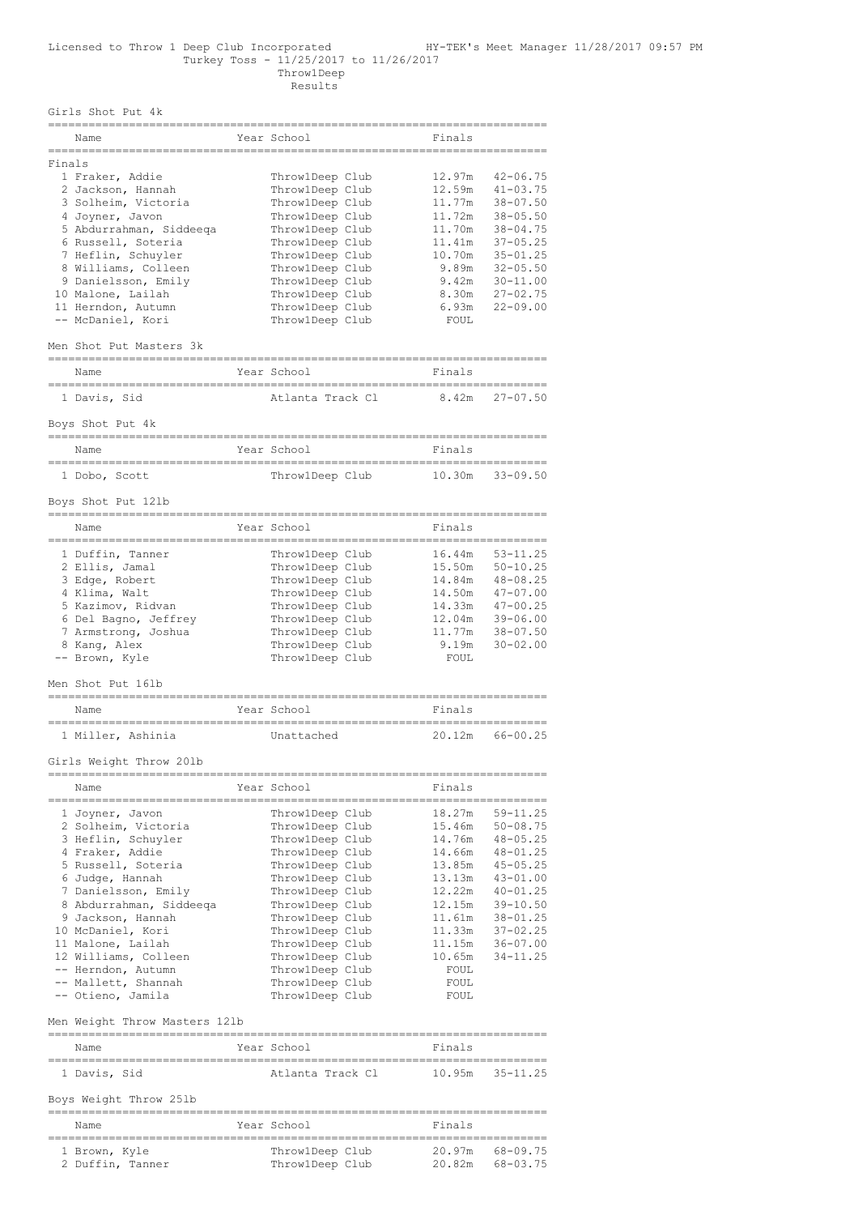Girls Shot Put 4k

|        | Name                          | Year School      | Finals      |              |
|--------|-------------------------------|------------------|-------------|--------------|
| Finals |                               |                  |             |              |
|        | 1 Fraker, Addie               | Throw1Deep Club  | 12.97m      | $42 - 06.75$ |
|        | 2 Jackson, Hannah             | Throw1Deep Club  | 12.59m      | $41 - 03.75$ |
|        | 3 Solheim, Victoria           | ThrowlDeep Club  | 11.77m      | $38 - 07.50$ |
|        | 4 Joyner, Javon               | Throw1Deep Club  | 11.72m      | $38 - 05.50$ |
|        | 5 Abdurrahman, Siddeeqa       | Throw1Deep Club  | 11.70m      | $38 - 04.75$ |
|        | 6 Russell, Soteria            | Throw1Deep Club  | 11.41m      | $37 - 05.25$ |
|        | 7 Heflin, Schuyler            | Throw1Deep Club  | 10.70m      | $35 - 01.25$ |
|        | 8 Williams, Colleen           | Throw1Deep Club  | 9.89m       | $32 - 05.50$ |
|        | 9 Danielsson, Emily           | Throw1Deep Club  | 9.42m       | $30 - 11.00$ |
|        | 10 Malone, Lailah             | Throw1Deep Club  | 8.30m       | $27 - 02.75$ |
|        | 11 Herndon, Autumn            | Throw1Deep Club  | 6.93m       | $22 - 09.00$ |
|        | -- McDaniel, Kori             | Throw1Deep Club  | FOUL        |              |
|        | Men Shot Put Masters 3k       |                  |             |              |
|        | Name                          | Year School      | Finals      |              |
|        | 1 Davis, Sid                  | Atlanta Track Cl | 8.42m       | $27 - 07.50$ |
|        | Boys Shot Put 4k              |                  |             |              |
|        | Name                          | Year School      | Finals      |              |
|        | 1 Dobo, Scott                 | ThrowlDeep Club  | 10.30m      | $33 - 09.50$ |
|        | Boys Shot Put 121b            |                  |             |              |
|        | Name                          | Year School      | Finals      |              |
|        |                               |                  |             |              |
|        | 1 Duffin, Tanner              | Throw1Deep Club  | 16.44m      | $53 - 11.25$ |
|        | 2 Ellis, Jamal                | Throw1Deep Club  | 15.50m      | $50 - 10.25$ |
|        | 3 Edge, Robert                | Throw1Deep Club  | 14.84m      | $48 - 08.25$ |
|        | 4 Klima, Walt                 | Throw1Deep Club  | 14.50m      | $47 - 07.00$ |
|        | 5 Kazimov, Ridvan             | Throw1Deep Club  | 14.33m      | $47 - 00.25$ |
|        | 6 Del Bagno, Jeffrey          | Throw1Deep Club  | 12.04m      | $39 - 06.00$ |
|        | 7 Armstrong, Joshua           | Throw1Deep Club  | 11.77m      | $38 - 07.50$ |
|        | 8 Kanq, Alex                  | Throw1Deep Club  | 9.19m       | $30 - 02.00$ |
|        | -- Brown, Kyle                | Throw1Deep Club  | FOUL        |              |
|        | Men Shot Put 16lb             |                  |             |              |
|        | Name                          | Year School      | Finals      |              |
|        | 1 Miller, Ashinia             | Unattached       | 20.12m      | $66 - 00.25$ |
|        | Girls Weight Throw 201b       |                  |             |              |
|        | Name                          | Year School      | Finals      |              |
|        | 1 Joyner, Javon               | Throw1Deep Club  | 18.27m      | $59 - 11.25$ |
|        | 2 Solheim, Victoria           | ThrowlDeep Club  | 15.46m      | $50 - 08.75$ |
|        | 3 Heflin, Schuyler            | Throw1Deep Club  | 14.76m      | $48 - 05.25$ |
|        | 4 Fraker, Addie               | Throw1Deep Club  | 14.66m      | $48 - 01.25$ |
|        | 5 Russell, Soteria            | ThrowlDeep Club  | 13.85m      | $45 - 05.25$ |
|        | 6 Judge, Hannah               | Throw1Deep Club  | 13.13m      | $43 - 01.00$ |
|        | 7 Danielsson, Emily           | ThrowlDeep Club  | 12.22m      | $40 - 01.25$ |
|        | 8 Abdurrahman, Siddeeqa       | ThrowlDeep Club  | 12.15m      | $39 - 10.50$ |
|        | 9 Jackson, Hannah             | Throw1Deep Club  | 11.61m      | $38 - 01.25$ |
|        | 10 McDaniel, Kori             | ThrowlDeep Club  | 11.33m      | $37 - 02.25$ |
|        | 11 Malone, Lailah             | ThrowlDeep Club  | 11.15m      | $36 - 07.00$ |
|        | 12 Williams, Colleen          | Throw1Deep Club  | 10.65m      | $34 - 11.25$ |
|        | -- Herndon, Autumn            | ThrowlDeep Club  | FOUL        |              |
|        | -- Mallett, Shannah           | Throw1Deep Club  | FOUL        |              |
|        | -- Otieno, Jamila             | Throw1Deep Club  | <b>FOUL</b> |              |
|        |                               |                  |             |              |
|        | Men Weight Throw Masters 12lb |                  |             |              |
|        | Name                          | Year School      | Finals      |              |

========================================================================== 1 Davis, Sid Atlanta Track Cl 10.95m 35-11.25

## Boys Weight Throw 25lb

| Name             | Year School     | Finals             |
|------------------|-----------------|--------------------|
| 1 Brown, Kyle    | ThrowlDeep Club | 20.97m<br>68-09.75 |
| 2 Duffin, Tanner | ThrowlDeep Club | 20.82m<br>68-03.75 |